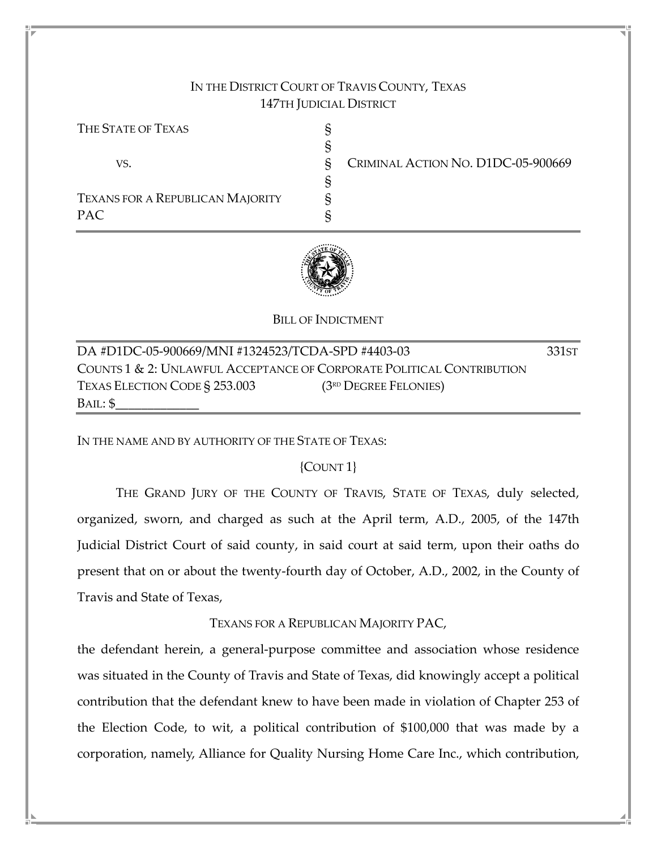## IN THE DISTRICT COURT OF TRAVIS COUNTY, TEXAS 147TH JUDICIAL DISTRICT

| THE STATE OF TEXAS                      |                                    |
|-----------------------------------------|------------------------------------|
|                                         |                                    |
| VS.                                     | CRIMINAL ACTION NO. D1DC-05-900669 |
|                                         |                                    |
| <b>TEXANS FOR A REPUBLICAN MAJORITY</b> |                                    |
| PAC.                                    |                                    |



BILL OF INDICTMENT

| DA #D1DC-05-900669/MNI #1324523/TCDA-SPD #4403-03                     |                         |  |  |
|-----------------------------------------------------------------------|-------------------------|--|--|
| COUNTS 1 & 2: UNLAWFUL ACCEPTANCE OF CORPORATE POLITICAL CONTRIBUTION |                         |  |  |
| TEXAS ELECTION CODE § 253.003                                         | $(3RD$ Degree Felonies) |  |  |
| BAIL: \$                                                              |                         |  |  |

IN THE NAME AND BY AUTHORITY OF THE STATE OF TEXAS:

{COUNT 1}

 THE GRAND JURY OF THE COUNTY OF TRAVIS, STATE OF TEXAS, duly selected, organized, sworn, and charged as such at the April term, A.D., 2005, of the 147th Judicial District Court of said county, in said court at said term, upon their oaths do present that on or about the twenty-fourth day of October, A.D., 2002, in the County of Travis and State of Texas,

TEXANS FOR A REPUBLICAN MAJORITY PAC,

the defendant herein, a general-purpose committee and association whose residence was situated in the County of Travis and State of Texas, did knowingly accept a political contribution that the defendant knew to have been made in violation of Chapter 253 of the Election Code, to wit, a political contribution of \$100,000 that was made by a corporation, namely, Alliance for Quality Nursing Home Care Inc., which contribution,